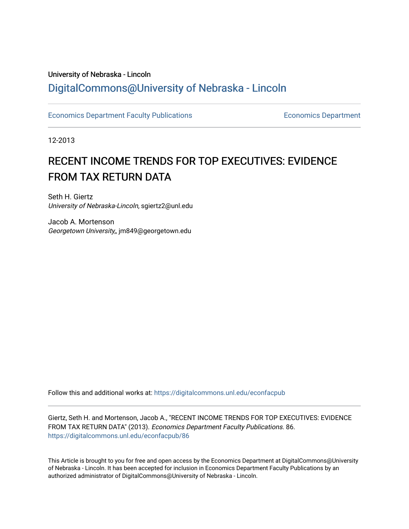# University of Nebraska - Lincoln [DigitalCommons@University of Nebraska - Lincoln](https://digitalcommons.unl.edu/)

[Economics Department Faculty Publications](https://digitalcommons.unl.edu/econfacpub) **Economics Department Economics Department** 

12-2013

# RECENT INCOME TRENDS FOR TOP EXECUTIVES: EVIDENCE FROM TAX RETURN DATA

Seth H. Giertz University of Nebraska-Lincoln, sgiertz2@unl.edu

Jacob A. Mortenson Georgetown University,, jm849@georgetown.edu

Follow this and additional works at: [https://digitalcommons.unl.edu/econfacpub](https://digitalcommons.unl.edu/econfacpub?utm_source=digitalcommons.unl.edu%2Feconfacpub%2F86&utm_medium=PDF&utm_campaign=PDFCoverPages)

Giertz, Seth H. and Mortenson, Jacob A., "RECENT INCOME TRENDS FOR TOP EXECUTIVES: EVIDENCE FROM TAX RETURN DATA" (2013). Economics Department Faculty Publications. 86. [https://digitalcommons.unl.edu/econfacpub/86](https://digitalcommons.unl.edu/econfacpub/86?utm_source=digitalcommons.unl.edu%2Feconfacpub%2F86&utm_medium=PDF&utm_campaign=PDFCoverPages) 

This Article is brought to you for free and open access by the Economics Department at DigitalCommons@University of Nebraska - Lincoln. It has been accepted for inclusion in Economics Department Faculty Publications by an authorized administrator of DigitalCommons@University of Nebraska - Lincoln.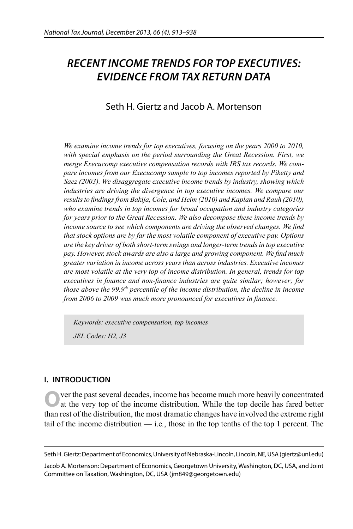# *RECENT INCOME TRENDS FOR TOP EXECUTIVES: EVIDENCE FROM TAX RETURN DATA*

# Seth H. Giertz and Jacob A. Mortenson

*We examine income trends for top executives, focusing on the years 2000 to 2010, with special emphasis on the period surrounding the Great Recession. First, we merge Execucomp executive compensation records with IRS tax records. We compare incomes from our Execucomp sample to top incomes reported by Piketty and Saez (2003). We disaggregate executive income trends by industry, showing which*  industries are driving the divergence in top executive incomes. We compare our *results to findings from Bakija, Cole, and Heim (2010) and Kaplan and Rauh (2010), who examine trends in top incomes for broad occupation and industry categories for years prior to the Great Recession. We also decompose these income trends by income source to see which components are driving the observed changes. We find that stock options are by far the most volatile component of executive pay. Options are the key driver of both short-term swings and longer-term trends in top executive pay. However, stock awards are also a large and growing component. We find much greater variation in income across years than across industries. Executive incomes are most volatile at the very top of income distribution. In general, trends for top executives in finance and non-finance industries are quite similar; however; for those above the 99.9th percentile of the income distribution, the decline in income from 2006 to 2009 was much more pronounced for executives in finance.* 

*Keywords: executive compensation, top incomes JEL Codes: H2, J3*

# **I. INTRODUCTION**

**O**ver the past several decades, income has become much more heavily concentrated at the very top of the income distribution. While the top decile has fared better than rest of the distribution, the most dramatic changes have involved the extreme right tail of the income distribution — i.e*.*, those in the top tenths of the top 1 percent. The

Seth H. Giertz: Department of Economics, University of Nebraska-Lincoln, Lincoln, NE, USA (giertz@unl.edu)

Jacob A. Mortenson: Department of Economics, Georgetown University, Washington, DC, USA, and Joint Committee on Taxation, Washington, DC, USA (jm849@georgetown.edu)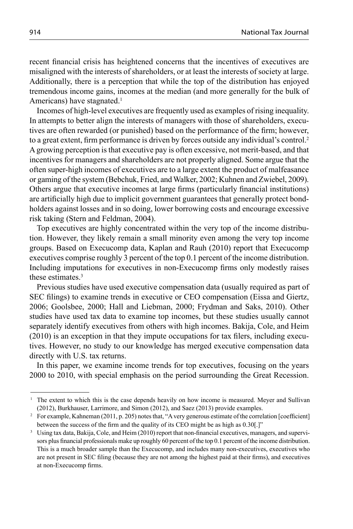recent financial crisis has heightened concerns that the incentives of executives are misaligned with the interests of shareholders, or at least the interests of society at large. Additionally, there is a perception that while the top of the distribution has enjoyed tremendous income gains, incomes at the median (and more generally for the bulk of Americans) have stagnated.<sup>1</sup>

Incomes of high-level executives are frequently used as examples of rising inequality. In attempts to better align the interests of managers with those of shareholders, executives are often rewarded (or punished) based on the performance of the firm; however, to a great extent, firm performance is driven by forces outside any individual's control.<sup>2</sup> A growing perception is that executive pay is often excessive, not merit-based, and that incentives for managers and shareholders are not properly aligned. Some argue that the often super-high incomes of executives are to a large extent the product of malfeasance or gaming of the system (Bebchuk, Fried, and Walker, 2002; Kuhnen and Zwiebel, 2009). Others argue that executive incomes at large firms (particularly financial institutions) are artificially high due to implicit government guarantees that generally protect bondholders against losses and in so doing, lower borrowing costs and encourage excessive risk taking (Stern and Feldman, 2004).

Top executives are highly concentrated within the very top of the income distribution. However, they likely remain a small minority even among the very top income groups. Based on Execucomp data, Kaplan and Rauh (2010) report that Execucomp executives comprise roughly 3 percent of the top 0.1 percent of the income distribution. Including imputations for executives in non-Execucomp firms only modestly raises these estimates.<sup>3</sup>

Previous studies have used executive compensation data (usually required as part of SEC filings) to examine trends in executive or CEO compensation (Eissa and Giertz, 2006; Goolsbee, 2000; Hall and Liebman, 2000; Frydman and Saks, 2010). Other studies have used tax data to examine top incomes, but these studies usually cannot separately identify executives from others with high incomes. Bakija, Cole, and Heim  $(2010)$  is an exception in that they impute occupations for tax filers, including executives. However, no study to our knowledge has merged executive compensation data directly with U.S. tax returns.

In this paper, we examine income trends for top executives, focusing on the years 2000 to 2010, with special emphasis on the period surrounding the Great Recession.

<sup>&</sup>lt;sup>1</sup> The extent to which this is the case depends heavily on how income is measured. Meyer and Sullivan (2012), Burkhauser, Larrimore, and Simon (2012), and Saez (2013) provide examples.

<sup>&</sup>lt;sup>2</sup> For example, Kahneman (2011, p. 205) notes that, "A very generous estimate of the correlation [coefficient] between the success of the firm and the quality of its CEO might be as high as 0.30.[]"

<sup>&</sup>lt;sup>3</sup> Using tax data, Bakija, Cole, and Heim (2010) report that non-financial executives, managers, and supervisors plus financial professionals make up roughly 60 percent of the top 0.1 percent of the income distribution. This is a much broader sample than the Execucomp, and includes many non-executives, executives who are not present in SEC filing (because they are not among the highest paid at their firms), and executives at non-Execucomp firms.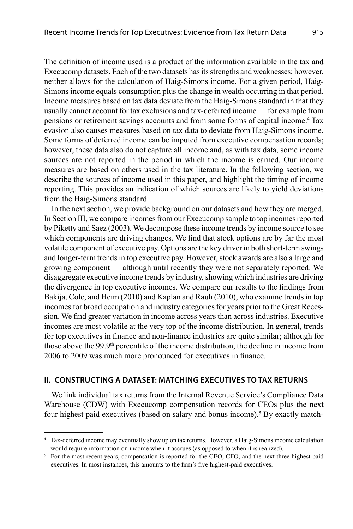The definition of income used is a product of the information available in the tax and Execucomp datasets. Each of the two datasets has its strengths and weaknesses; however, neither allows for the calculation of Haig-Simons income. For a given period, Haig-Simons income equals consumption plus the change in wealth occurring in that period. Income measures based on tax data deviate from the Haig-Simons standard in that they usually cannot account for tax exclusions and tax-deferred income — for example from pensions or retirement savings accounts and from some forms of capital income.<sup>4</sup> Tax evasion also causes measures based on tax data to deviate from Haig-Simons income. Some forms of deferred income can be imputed from executive compensation records; however, these data also do not capture all income and, as with tax data, some income sources are not reported in the period in which the income is earned. Our income measures are based on others used in the tax literature. In the following section, we describe the sources of income used in this paper, and highlight the timing of income reporting. This provides an indication of which sources are likely to yield deviations from the Haig-Simons standard.

In the next section, we provide background on our datasets and how they are merged. In Section III, we compare incomes from our Execucomp sample to top incomes reported by Piketty and Saez (2003). We decompose these income trends by income source to see which components are driving changes. We find that stock options are by far the most volatile component of executive pay. Options are the key driver in both short-term swings and longer-term trends in top executive pay. However, stock awards are also a large and growing component — although until recently they were not separately reported. We disaggregate executive income trends by industry, showing which industries are driving the divergence in top executive incomes. We compare our results to the findings from Bakija, Cole, and Heim (2010) and Kaplan and Rauh (2010), who examine trends in top incomes for broad occupation and industry categories for years prior to the Great Recession. We find greater variation in income across years than across industries. Executive incomes are most volatile at the very top of the income distribution. In general, trends for top executives in finance and non-finance industries are quite similar; although for those above the 99.9th percentile of the income distribution, the decline in income from 2006 to 2009 was much more pronounced for executives in finance.

# **II. CONSTRUCTING A DATASET: MATCHING EXECUTIVES TO TAX RETURNS**

We link individual tax returns from the Internal Revenue Service's Compliance Data Warehouse (CDW) with Execucomp compensation records for CEOs plus the next four highest paid executives (based on salary and bonus income).<sup>5</sup> By exactly match-

<sup>4</sup> Tax-deferred income may eventually show up on tax returns. However, a Haig-Simons income calculation would require information on income when it accrues (as opposed to when it is realized).

<sup>&</sup>lt;sup>5</sup> For the most recent years, compensation is reported for the CEO, CFO, and the next three highest paid executives. In most instances, this amounts to the firm's five highest-paid executives.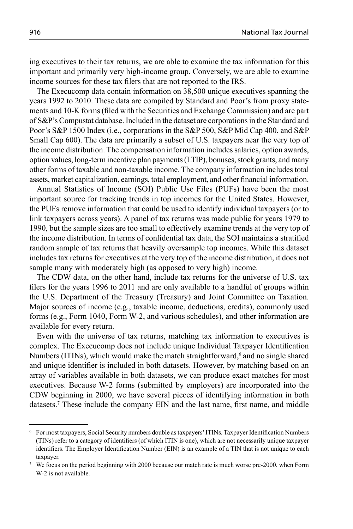ing executives to their tax returns, we are able to examine the tax information for this important and primarily very high-income group. Conversely, we are able to examine income sources for these tax filers that are not reported to the IRS.

The Execucomp data contain information on 38,500 unique executives spanning the years 1992 to 2010. These data are compiled by Standard and Poor's from proxy statements and 10-K forms (filed with the Securities and Exchange Commission) and are part of S&P's Compustat database. Included in the dataset are corporations in the Standard and Poor's S&P 1500 Index (i.e., corporations in the S&P 500, S&P Mid Cap 400, and S&P Small Cap 600). The data are primarily a subset of U.S. taxpayers near the very top of the income distribution. The compensation information includes salaries, option awards, option values, long-term incentive plan payments (LTIP), bonuses, stock grants, and many other forms of taxable and non-taxable income. The company information includes total assets, market capitalization, earnings, total employment, and other financial information.

Annual Statistics of Income (SOI) Public Use Files (PUFs) have been the most important source for tracking trends in top incomes for the United States. However, the PUFs remove information that could be used to identify individual taxpayers (or to link taxpayers across years). A panel of tax returns was made public for years 1979 to 1990, but the sample sizes are too small to effectively examine trends at the very top of the income distribution. In terms of confidential tax data, the SOI maintains a stratified random sample of tax returns that heavily oversample top incomes. While this dataset includes tax returns for executives at the very top of the income distribution, it does not sample many with moderately high (as opposed to very high) income.

The CDW data, on the other hand, include tax returns for the universe of U.S. tax filers for the years 1996 to 2011 and are only available to a handful of groups within the U.S. Department of the Treasury (Treasury) and Joint Committee on Taxation. Major sources of income (e.g., taxable income, deductions, credits), commonly used forms (e.g., Form 1040, Form W-2, and various schedules), and other information are available for every return.

Even with the universe of tax returns, matching tax information to executives is complex. The Execucomp does not include unique Individual Taxpayer Identification Numbers (ITINs), which would make the match straightforward,<sup>6</sup> and no single shared and unique identifier is included in both datasets. However, by matching based on an array of variables available in both datasets, we can produce exact matches for most executives. Because W-2 forms (submitted by employers) are incorporated into the CDW beginning in 2000, we have several pieces of identifying information in both datasets.<sup>7</sup> These include the company EIN and the last name, first name, and middle

<sup>&</sup>lt;sup>6</sup> For most taxpayers, Social Security numbers double as taxpayers' ITINs. Taxpayer Identification Numbers (TINs) refer to a category of identifiers (of which ITIN is one), which are not necessarily unique taxpayer identifiers. The Employer Identification Number (EIN) is an example of a TIN that is not unique to each taxpayer.

<sup>7</sup> We focus on the period beginning with 2000 because our match rate is much worse pre-2000, when Form W-2 is not available.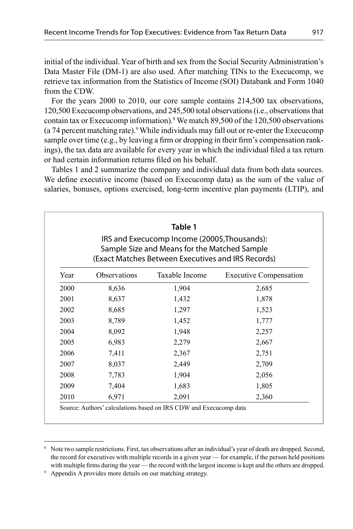initial of the individual. Year of birth and sex from the Social Security Administration's Data Master File (DM-1) are also used. After matching TINs to the Execucomp, we retrieve tax information from the Statistics of Income (SOI) Databank and Form 1040 from the CDW.

For the years 2000 to 2010, our core sample contains 214,500 tax observations, 120,500 Execucomp observations, and 245,500 total observations (i.e., observations that contain tax or Execucomp information).8 We match 89,500 of the 120,500 observations (a 74 percent matching rate).<sup>9</sup> While individuals may fall out or re-enter the Execucomp sample over time (e.g., by leaving a firm or dropping in their firm's compensation rankings), the tax data are available for every year in which the individual filed a tax return or had certain information returns filed on his behalf.

Tables 1 and 2 summarize the company and individual data from both data sources. We define executive income (based on Execucomp data) as the sum of the value of salaries, bonuses, options exercised, long-term incentive plan payments (LTIP), and

| IRS and Execucomp Income (2000\$, Thousands):<br>Sample Size and Means for the Matched Sample<br>(Exact Matches Between Executives and IRS Records) |              |                |                               |  |  |  |
|-----------------------------------------------------------------------------------------------------------------------------------------------------|--------------|----------------|-------------------------------|--|--|--|
| Year                                                                                                                                                | Observations | Taxable Income | <b>Executive Compensation</b> |  |  |  |
| 2000                                                                                                                                                | 8,636        | 1,904          | 2,685                         |  |  |  |
| 2001                                                                                                                                                | 8,637        | 1,432          | 1,878                         |  |  |  |
| 2002                                                                                                                                                | 8,685        | 1,297          | 1,523                         |  |  |  |
| 2003                                                                                                                                                | 8,789        | 1,452          | 1,777                         |  |  |  |
| 2004                                                                                                                                                | 8,092        | 1,948          | 2,257                         |  |  |  |
| 2005                                                                                                                                                | 6,983        | 2,279          | 2,667                         |  |  |  |
| 2006                                                                                                                                                | 7.411        | 2,367          | 2,751                         |  |  |  |
| 2007                                                                                                                                                | 8,037        | 2,449          | 2,709                         |  |  |  |
| 2008                                                                                                                                                | 7,783        | 1,904          | 2,056                         |  |  |  |
| 2009                                                                                                                                                | 7,404        | 1,683          | 1,805                         |  |  |  |
| 2010                                                                                                                                                | 6,971        | 2,091          | 2,360                         |  |  |  |

<sup>8</sup> Note two sample restrictions. First, tax observations after an individual's year of death are dropped. Second, the record for executives with multiple records in a given year — for example, if the person held positions with multiple firms during the year — the record with the largest income is kept and the others are dropped.

<sup>9</sup> Appendix A provides more details on our matching strategy.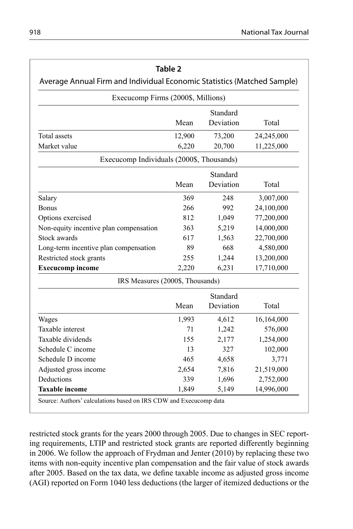|                                                                                                               | Table 2 |           |            |  |  |  |  |  |
|---------------------------------------------------------------------------------------------------------------|---------|-----------|------------|--|--|--|--|--|
| Average Annual Firm and Individual Economic Statistics (Matched Sample)<br>Execucomp Firms (2000\$, Millions) |         |           |            |  |  |  |  |  |
| Standard                                                                                                      |         |           |            |  |  |  |  |  |
| Deviation<br>Mean<br>Total                                                                                    |         |           |            |  |  |  |  |  |
| <b>Total</b> assets                                                                                           | 12,900  | 73,200    | 24,245,000 |  |  |  |  |  |
| Market value                                                                                                  | 6,220   | 20,700    | 11,225,000 |  |  |  |  |  |
| Execucomp Individuals (2000\$, Thousands)                                                                     |         |           |            |  |  |  |  |  |
| Standard                                                                                                      |         |           |            |  |  |  |  |  |
|                                                                                                               | Mean    | Deviation | Total      |  |  |  |  |  |
| Salary                                                                                                        | 369     | 248       | 3,007,000  |  |  |  |  |  |
| <b>Bonus</b>                                                                                                  | 266     | 992       | 24,100,000 |  |  |  |  |  |
| Options exercised                                                                                             | 812     | 1,049     | 77,200,000 |  |  |  |  |  |
| Non-equity incentive plan compensation                                                                        | 363     | 5,219     | 14,000,000 |  |  |  |  |  |
| Stock awards                                                                                                  | 617     | 1,563     | 22,700,000 |  |  |  |  |  |
| Long-term incentive plan compensation                                                                         | 89      | 668       | 4,580,000  |  |  |  |  |  |
| Restricted stock grants                                                                                       | 255     | 1,244     | 13,200,000 |  |  |  |  |  |
| <b>Execucomp</b> income                                                                                       | 2,220   | 6,231     | 17,710,000 |  |  |  |  |  |
| IRS Measures (2000\$, Thousands)                                                                              |         |           |            |  |  |  |  |  |
|                                                                                                               |         | Standard  |            |  |  |  |  |  |
|                                                                                                               | Mean    | Deviation | Total      |  |  |  |  |  |
| Wages                                                                                                         | 1,993   | 4,612     | 16,164,000 |  |  |  |  |  |
| Taxable interest                                                                                              | 71      | 1,242     | 576,000    |  |  |  |  |  |
| Taxable dividends                                                                                             | 155     | 2,177     | 1,254,000  |  |  |  |  |  |
| Schedule C income                                                                                             | 13      | 327       | 102,000    |  |  |  |  |  |
| Schedule D income                                                                                             | 465     | 4,658     | 3,771      |  |  |  |  |  |
| Adjusted gross income                                                                                         | 2,654   | 7,816     | 21,519,000 |  |  |  |  |  |
| Deductions                                                                                                    | 339     | 1,696     | 2,752,000  |  |  |  |  |  |
| <b>Taxable income</b><br>5,149<br>14,996,000<br>1,849                                                         |         |           |            |  |  |  |  |  |

restricted stock grants for the years 2000 through 2005. Due to changes in SEC reporting requirements, LTIP and restricted stock grants are reported differently beginning in 2006. We follow the approach of Frydman and Jenter (2010) by replacing these two items with non-equity incentive plan compensation and the fair value of stock awards after 2005. Based on the tax data, we define taxable income as adjusted gross income (AGI) reported on Form 1040 less deductions (the larger of itemized deductions or the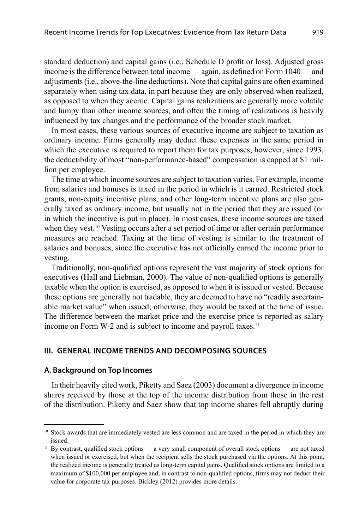standard deduction) and capital gains (i.e., Schedule D profit or loss). Adjusted gross income is the difference between total income — again, as defined on Form  $1040$  — and adjustments (i.e., above-the-line deductions). Note that capital gains are often examined separately when using tax data, in part because they are only observed when realized, as opposed to when they accrue. Capital gains realizations are generally more volatile and lumpy than other income sources, and often the timing of realizations is heavily influenced by tax changes and the performance of the broader stock market.

In most cases, these various sources of executive income are subject to taxation as ordinary income. Firms generally may deduct these expenses in the same period in which the executive is required to report them for tax purposes; however, since 1993, the deductibility of most "non-performance-based" compensation is capped at \$1 million per employee.

The time at which income sources are subject to taxation varies. For example, income from salaries and bonuses is taxed in the period in which is it earned. Restricted stock grants, non-equity incentive plans, and other long-term incentive plans are also generally taxed as ordinary income, but usually not in the period that they are issued (or in which the incentive is put in place). In most cases, these income sources are taxed when they vest.10 Vesting occurs after a set period of time or after certain performance measures are reached. Taxing at the time of vesting is similar to the treatment of salaries and bonuses, since the executive has not officially earned the income prior to vesting.

Traditionally, non-qualified options represent the vast majority of stock options for executives (Hall and Liebman, 2000). The value of non-qualified options is generally taxable when the option is exercised, as opposed to when it is issued or vested. Because these options are generally not tradable, they are deemed to have no "readily ascertainable market value" when issued; otherwise, they would be taxed at the time of issue. The difference between the market price and the exercise price is reported as salary income on Form W-2 and is subject to income and payroll taxes.<sup>11</sup>

#### **III. GENERAL INCOME TRENDS AND DECOMPOSING SOURCES**

#### **A. Background on Top Incomes**

In their heavily cited work, Piketty and Saez (2003) document a divergence in income shares received by those at the top of the income distribution from those in the rest of the distribution. Piketty and Saez show that top income shares fell abruptly during

<sup>&</sup>lt;sup>10</sup> Stock awards that are immediately vested are less common and are taxed in the period in which they are issued.

 $11$  By contrast, qualified stock options — a very small component of overall stock options — are not taxed when issued or exercised, but when the recipient sells the stock purchased via the options. At this point, the realized income is generally treated as long-term capital gains. Qualified stock options are limited to a maximum of \$100,000 per employee and, in contrast to non-qualified options, firms may not deduct their value for corporate tax purposes. Bickley (2012) provides more details.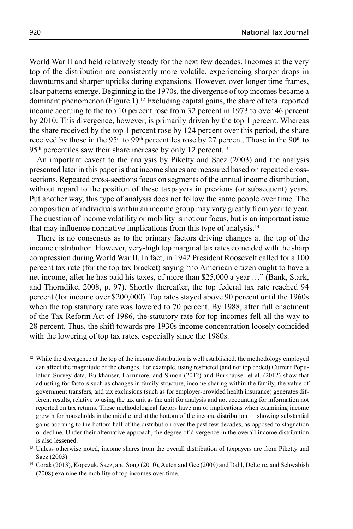World War II and held relatively steady for the next few decades. Incomes at the very top of the distribution are consistently more volatile, experiencing sharper drops in downturns and sharper upticks during expansions. However, over longer time frames, clear patterns emerge. Beginning in the 1970s, the divergence of top incomes became a dominant phenomenon (Figure 1).<sup>12</sup> Excluding capital gains, the share of total reported income accruing to the top 10 percent rose from 32 percent in 1973 to over 46 percent by 2010. This divergence, however, is primarily driven by the top 1 percent. Whereas the share received by the top 1 percent rose by 124 percent over this period, the share received by those in the 95<sup>th</sup> to 99<sup>th</sup> percentiles rose by 27 percent. Those in the 90<sup>th</sup> to 95<sup>th</sup> percentiles saw their share increase by only 12 percent.<sup>13</sup>

An important caveat to the analysis by Piketty and Saez (2003) and the analysis presented later in this paper is that income shares are measured based on repeated crosssections. Repeated cross-sections focus on segments of the annual income distribution, without regard to the position of these taxpayers in previous (or subsequent) years. Put another way, this type of analysis does not follow the same people over time. The composition of individuals within an income group may vary greatly from year to year. The question of income volatility or mobility is not our focus, but is an important issue that may influence normative implications from this type of analysis.<sup>14</sup>

There is no consensus as to the primary factors driving changes at the top of the income distribution. However, very-high top marginal tax rates coincided with the sharp compression during World War II. In fact, in 1942 President Roosevelt called for a 100 percent tax rate (for the top tax bracket) saying "no American citizen ought to have a net income, after he has paid his taxes, of more than \$25,000 a year …" (Bank, Stark, and Thorndike, 2008, p. 97). Shortly thereafter, the top federal tax rate reached 94 percent (for income over \$200,000). Top rates stayed above 90 percent until the 1960s when the top statutory rate was lowered to 70 percent. By 1988, after full enactment of the Tax Reform Act of 1986, the statutory rate for top incomes fell all the way to 28 percent. Thus, the shift towards pre-1930s income concentration loosely coincided with the lowering of top tax rates, especially since the 1980s.

<sup>&</sup>lt;sup>12</sup> While the divergence at the top of the income distribution is well established, the methodology employed can affect the magnitude of the changes. For example, using restricted (and not top coded) Current Population Survey data, Burkhauser, Larrimore, and Simon (2012) and Burkhauser et al. (2012) show that adjusting for factors such as changes in family structure, income sharing within the family, the value of government transfers, and tax exclusions (such as for employer-provided health insurance) generates different results, relative to using the tax unit as the unit for analysis and not accounting for information not reported on tax returns. These methodological factors have major implications when examining income growth for households in the middle and at the bottom of the income distribution — showing substantial gains accruing to the bottom half of the distribution over the past few decades, as opposed to stagnation or decline. Under their alternative approach, the degree of divergence in the overall income distribution is also lessened.

<sup>&</sup>lt;sup>13</sup> Unless otherwise noted, income shares from the overall distribution of taxpayers are from Piketty and Saez (2003).

<sup>14</sup> Corak (2013), Kopczuk, Saez, and Song (2010), Auten and Gee (2009) and Dahl, DeLeire, and Schwabish (2008) examine the mobility of top incomes over time.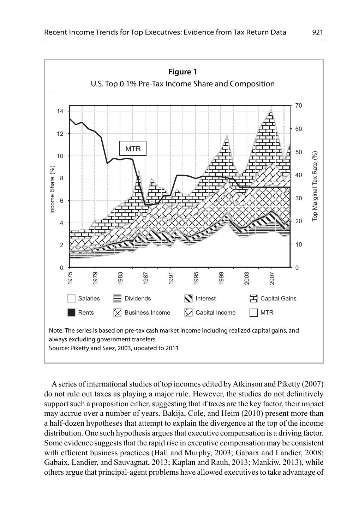

A series of international studies of top incomes edited by Atkinson and Piketty (2007) do not rule out taxes as playing a major rule. However, the studies do not definitively support such a proposition either, suggesting that if taxes are the key factor, their impact may accrue over a number of years. Bakija, Cole, and Heim (2010) present more than a half-dozen hypotheses that attempt to explain the divergence at the top of the income distribution. One such hypothesis argues that executive compensation is a driving factor. Some evidence suggests that the rapid rise in executive compensation may be consistent with efficient business practices (Hall and Murphy, 2003; Gabaix and Landier, 2008; Gabaix, Landier, and Sauvagnat, 2013; Kaplan and Rauh, 2013; Mankiw, 2013), while others argue that principal-agent problems have allowed executives to take advantage of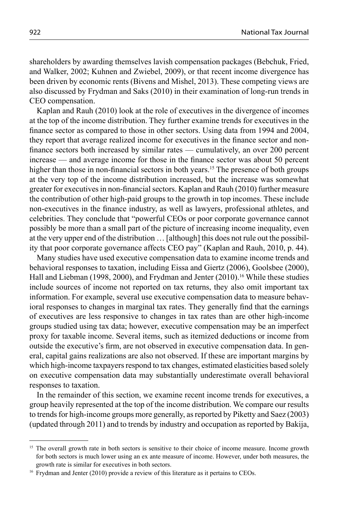shareholders by awarding themselves lavish compensation packages (Bebchuk, Fried, and Walker, 2002; Kuhnen and Zwiebel, 2009), or that recent income divergence has been driven by economic rents (Bivens and Mishel, 2013). These competing views are also discussed by Frydman and Saks (2010) in their examination of long-run trends in CEO compensation.

Kaplan and Rauh (2010) look at the role of executives in the divergence of incomes at the top of the income distribution. They further examine trends for executives in the finance sector as compared to those in other sectors. Using data from 1994 and 2004, they report that average realized income for executives in the finance sector and nonfinance sectors both increased by similar rates — cumulatively, an over 200 percent increase — and average income for those in the finance sector was about 50 percent higher than those in non-financial sectors in both years.<sup>15</sup> The presence of both groups at the very top of the income distribution increased, but the increase was somewhat greater for executives in non-financial sectors. Kaplan and Rauh (2010) further measure the contribution of other high-paid groups to the growth in top incomes. These include non-executives in the finance industry, as well as lawyers, professional athletes, and celebrities. They conclude that "powerful CEOs or poor corporate governance cannot possibly be more than a small part of the picture of increasing income inequality, even at the very upper end of the distribution … [although] this does not rule out the possibility that poor corporate governance affects CEO pay" (Kaplan and Rauh, 2010, p. 44).

Many studies have used executive compensation data to examine income trends and behavioral responses to taxation, including Eissa and Giertz (2006), Goolsbee (2000), Hall and Liebman (1998, 2000), and Frydman and Jenter (2010).16 While these studies include sources of income not reported on tax returns, they also omit important tax information. For example, several use executive compensation data to measure behavioral responses to changes in marginal tax rates. They generally find that the earnings of executives are less responsive to changes in tax rates than are other high-income groups studied using tax data; however, executive compensation may be an imperfect proxy for taxable income. Several items, such as itemized deductions or income from outside the executive's firm, are not observed in executive compensation data. In general, capital gains realizations are also not observed. If these are important margins by which high-income taxpayers respond to tax changes, estimated elasticities based solely on executive compensation data may substantially underestimate overall behavioral responses to taxation.

In the remainder of this section, we examine recent income trends for executives, a group heavily represented at the top of the income distribution. We compare our results to trends for high-income groups more generally, as reported by Piketty and Saez (2003) (updated through 2011) and to trends by industry and occupation as reported by Bakija,

<sup>&</sup>lt;sup>15</sup> The overall growth rate in both sectors is sensitive to their choice of income measure. Income growth for both sectors is much lower using an ex ante measure of income. However, under both measures, the growth rate is similar for executives in both sectors.

<sup>&</sup>lt;sup>16</sup> Frydman and Jenter (2010) provide a review of this literature as it pertains to CEOs.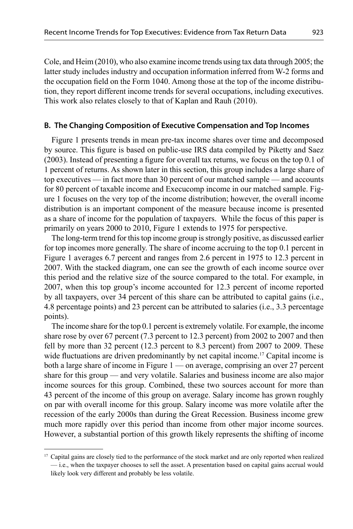Cole, and Heim (2010), who also examine income trends using tax data through 2005; the latter study includes industry and occupation information inferred from W-2 forms and the occupation field on the Form 1040. Among those at the top of the income distribution, they report different income trends for several occupations, including executives. This work also relates closely to that of Kaplan and Rauh (2010).

### **B. The Changing Composition of Executive Compensation and Top Incomes**

Figure 1 presents trends in mean pre-tax income shares over time and decomposed by source. This figure is based on public-use IRS data compiled by Piketty and Saez  $(2003)$ . Instead of presenting a figure for overall tax returns, we focus on the top 0.1 of 1 percent of returns. As shown later in this section, this group includes a large share of top executives — in fact more than 30 percent of our matched sample — and accounts for 80 percent of taxable income and Execucomp income in our matched sample. Figure 1 focuses on the very top of the income distribution; however, the overall income distribution is an important component of the measure because income is presented as a share of income for the population of taxpayers. While the focus of this paper is primarily on years 2000 to 2010, Figure 1 extends to 1975 for perspective.

The long-term trend for this top income group is strongly positive, as discussed earlier for top incomes more generally. The share of income accruing to the top 0.1 percent in Figure 1 averages 6.7 percent and ranges from 2.6 percent in 1975 to 12.3 percent in 2007. With the stacked diagram, one can see the growth of each income source over this period and the relative size of the source compared to the total. For example, in 2007, when this top group's income accounted for 12.3 percent of income reported by all taxpayers, over 34 percent of this share can be attributed to capital gains (i.e., 4.8 percentage points) and 23 percent can be attributed to salaries (i.e., 3.3 percentage points).

The income share for the top 0.1 percent is extremely volatile. For example, the income share rose by over 67 percent (7.3 percent to 12.3 percent) from 2002 to 2007 and then fell by more than 32 percent (12.3 percent to 8.3 percent) from 2007 to 2009. These wide fluctuations are driven predominantly by net capital income.<sup>17</sup> Capital income is both a large share of income in Figure 1 — on average, comprising an over 27 percent share for this group — and very volatile. Salaries and business income are also major income sources for this group. Combined, these two sources account for more than 43 percent of the income of this group on average. Salary income has grown roughly on par with overall income for this group. Salary income was more volatile after the recession of the early 2000s than during the Great Recession. Business income grew much more rapidly over this period than income from other major income sources. However, a substantial portion of this growth likely represents the shifting of income

<sup>&</sup>lt;sup>17</sup> Capital gains are closely tied to the performance of the stock market and are only reported when realized — i.e., when the taxpayer chooses to sell the asset. A presentation based on capital gains accrual would likely look very different and probably be less volatile.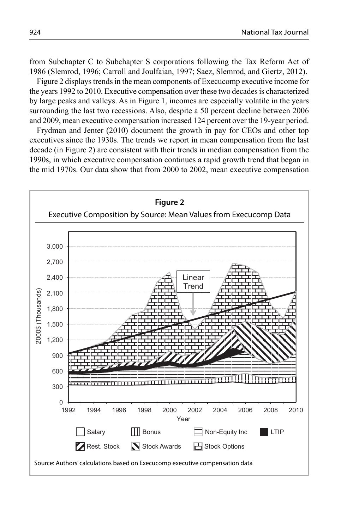from Subchapter C to Subchapter S corporations following the Tax Reform Act of 1986 (Slemrod, 1996; Carroll and Joulfaian, 1997; Saez, Slemrod, and Giertz, 2012).

Figure 2 displays trends in the mean components of Execucomp executive income for the years 1992 to 2010. Executive compensation over these two decades is characterized by large peaks and valleys. As in Figure 1, incomes are especially volatile in the years surrounding the last two recessions. Also, despite a 50 percent decline between 2006 and 2009, mean executive compensation increased 124 percent over the 19-year period.

Frydman and Jenter (2010) document the growth in pay for CEOs and other top executives since the 1930s. The trends we report in mean compensation from the last decade (in Figure 2) are consistent with their trends in median compensation from the 1990s, in which executive compensation continues a rapid growth trend that began in the mid 1970s. Our data show that from 2000 to 2002, mean executive compensation

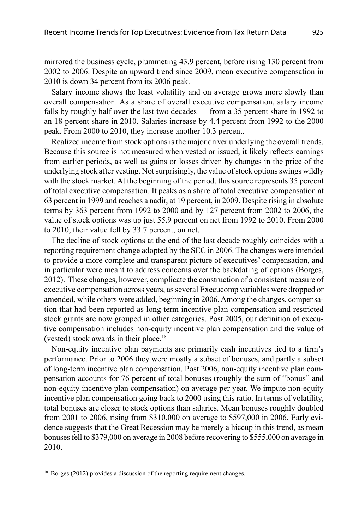mirrored the business cycle, plummeting 43.9 percent, before rising 130 percent from 2002 to 2006. Despite an upward trend since 2009, mean executive compensation in 2010 is down 34 percent from its 2006 peak.

Salary income shows the least volatility and on average grows more slowly than overall compensation. As a share of overall executive compensation, salary income falls by roughly half over the last two decades — from a 35 percent share in 1992 to an 18 percent share in 2010. Salaries increase by 4.4 percent from 1992 to the 2000 peak. From 2000 to 2010, they increase another 10.3 percent.

Realized income from stock options is the major driver underlying the overall trends. Because this source is not measured when vested or issued, it likely reflects earnings from earlier periods, as well as gains or losses driven by changes in the price of the underlying stock after vesting. Not surprisingly, the value of stock options swings wildly with the stock market. At the beginning of the period, this source represents 35 percent of total executive compensation. It peaks as a share of total executive compensation at 63 percent in 1999 and reaches a nadir, at 19 percent, in 2009. Despite rising in absolute terms by 363 percent from 1992 to 2000 and by 127 percent from 2002 to 2006, the value of stock options was up just 55.9 percent on net from 1992 to 2010. From 2000 to 2010, their value fell by 33.7 percent, on net.

The decline of stock options at the end of the last decade roughly coincides with a reporting requirement change adopted by the SEC in 2006. The changes were intended to provide a more complete and transparent picture of executives' compensation, and in particular were meant to address concerns over the backdating of options (Borges, 2012). These changes, however, complicate the construction of a consistent measure of executive compensation across years, as several Execucomp variables were dropped or amended, while others were added, beginning in 2006. Among the changes, compensation that had been reported as long-term incentive plan compensation and restricted stock grants are now grouped in other categories. Post 2005, our definition of executive compensation includes non-equity incentive plan compensation and the value of (vested) stock awards in their place.18

Non-equity incentive plan payments are primarily cash incentives tied to a firm's performance. Prior to 2006 they were mostly a subset of bonuses, and partly a subset of long-term incentive plan compensation. Post 2006, non-equity incentive plan compensation accounts for 76 percent of total bonuses (roughly the sum of "bonus" and non-equity incentive plan compensation) on average per year. We impute non-equity incentive plan compensation going back to 2000 using this ratio. In terms of volatility, total bonuses are closer to stock options than salaries. Mean bonuses roughly doubled from 2001 to 2006, rising from \$310,000 on average to \$597,000 in 2006. Early evidence suggests that the Great Recession may be merely a hiccup in this trend, as mean bonuses fell to \$379,000 on average in 2008 before recovering to \$555,000 on average in 2010.

<sup>&</sup>lt;sup>18</sup> Borges (2012) provides a discussion of the reporting requirement changes.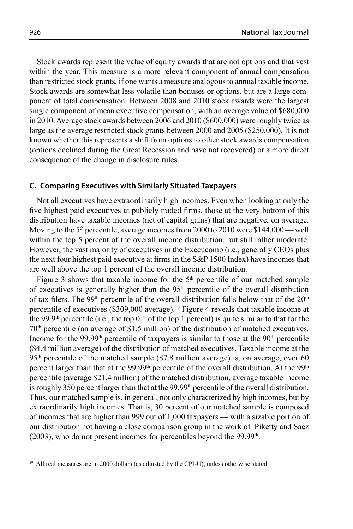Stock awards represent the value of equity awards that are not options and that vest within the year. This measure is a more relevant component of annual compensation than restricted stock grants, if one wants a measure analogous to annual taxable income. Stock awards are somewhat less volatile than bonuses or options, but are a large component of total compensation. Between 2008 and 2010 stock awards were the largest single component of mean executive compensation, with an average value of \$680,000 in 2010. Average stock awards between 2006 and 2010 (\$600,000) were roughly twice as large as the average restricted stock grants between 2000 and 2005 (\$250,000). It is not known whether this represents a shift from options to other stock awards compensation (options declined during the Great Recession and have not recovered) or a more direct consequence of the change in disclosure rules.

#### **C. Comparing Executives with Similarly Situated Taxpayers**

Not all executives have extraordinarily high incomes. Even when looking at only the five highest paid executives at publicly traded firms, those at the very bottom of this distribution have taxable incomes (net of capital gains) that are negative, on average. Moving to the 5<sup>th</sup> percentile, average incomes from 2000 to 2010 were \$144,000 — well within the top 5 percent of the overall income distribution, but still rather moderate. However, the vast majority of executives in the Execucomp (i.e., generally CEOs plus the next four highest paid executive at firms in the  $S\&P 1500$  Index) have incomes that are well above the top 1 percent of the overall income distribution.

Figure 3 shows that taxable income for the  $5<sup>th</sup>$  percentile of our matched sample of executives is generally higher than the  $95<sup>th</sup>$  percentile of the overall distribution of tax filers. The 99<sup>th</sup> percentile of the overall distribution falls below that of the  $20<sup>th</sup>$ percentile of executives (\$309,000 average).19 Figure 4 reveals that taxable income at the 99.9th percentile (i.e., the top 0.1 of the top 1 percent) is quite similar to that for the  $70<sup>th</sup>$  percentile (an average of \$1.5 million) of the distribution of matched executives. Income for the 99.99<sup>th</sup> percentile of taxpayers is similar to those at the 90<sup>th</sup> percentile (\$4.4 million average) of the distribution of matched executives. Taxable income at the  $95<sup>th</sup>$  percentile of the matched sample (\$7.8 million average) is, on average, over 60 percent larger than that at the  $99.99<sup>th</sup>$  percentile of the overall distribution. At the  $99<sup>th</sup>$ percentile (average \$21.4 million) of the matched distribution, average taxable income is roughly 350 percent larger than that at the  $99.99<sup>th</sup>$  percentile of the overall distribution. Thus, our matched sample is, in general, not only characterized by high incomes, but by extraordinarily high incomes. That is, 30 percent of our matched sample is composed of incomes that are higher than 999 out of 1,000 taxpayers — with a sizable portion of our distribution not having a close comparison group in the work of Piketty and Saez  $(2003)$ , who do not present incomes for percentiles beyond the 99.99<sup>th</sup>.

 $19$  All real measures are in 2000 dollars (as adjusted by the CPI-U), unless otherwise stated.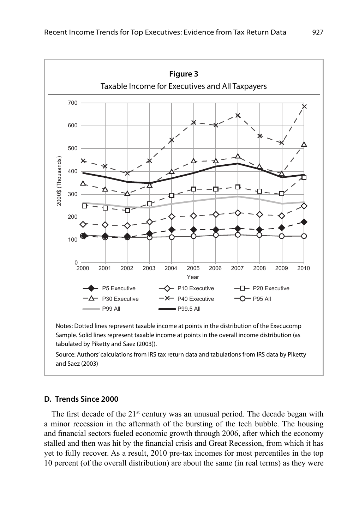

Source: Authors' calculations from IRS tax return data and tabulations from IRS data by Piketty and Saez (2003)

## **D. Trends Since 2000**

The first decade of the  $21<sup>st</sup>$  century was an unusual period. The decade began with a minor recession in the aftermath of the bursting of the tech bubble. The housing and financial sectors fueled economic growth through 2006, after which the economy stalled and then was hit by the financial crisis and Great Recession, from which it has yet to fully recover. As a result, 2010 pre-tax incomes for most percentiles in the top 10 percent (of the overall distribution) are about the same (in real terms) as they were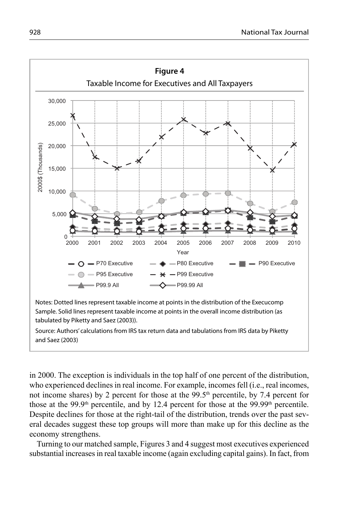

in 2000. The exception is individuals in the top half of one percent of the distribution, who experienced declines in real income. For example, incomes fell (i.e., real incomes, not income shares) by 2 percent for those at the 99.5<sup>th</sup> percentile, by 7.4 percent for those at the 99.9<sup>th</sup> percentile, and by 12.4 percent for those at the 99.99<sup>th</sup> percentile. Despite declines for those at the right-tail of the distribution, trends over the past several decades suggest these top groups will more than make up for this decline as the economy strengthens.

Turning to our matched sample, Figures 3 and 4 suggest most executives experienced substantial increases in real taxable income (again excluding capital gains). In fact, from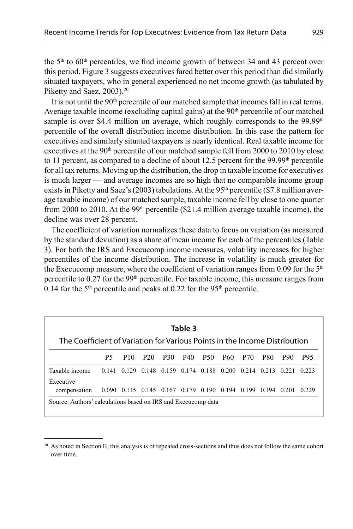the  $5<sup>th</sup>$  to  $60<sup>th</sup>$  percentiles, we find income growth of between 34 and 43 percent over this period. Figure 3 suggests executives fared better over this period than did similarly situated taxpayers, who in general experienced no net income growth (as tabulated by Piketty and Saez, 2003).<sup>20</sup>

It is not until the 90<sup>th</sup> percentile of our matched sample that incomes fall in real terms. Average taxable income (excluding capital gains) at the  $90<sup>th</sup>$  percentile of our matched sample is over \$4.4 million on average, which roughly corresponds to the  $99.99<sup>th</sup>$ percentile of the overall distribution income distribution. In this case the pattern for executives and similarly situated taxpayers is nearly identical. Real taxable income for executives at the  $90<sup>th</sup>$  percentile of our matched sample fell from 2000 to 2010 by close to 11 percent, as compared to a decline of about 12.5 percent for the  $99.99<sup>th</sup>$  percentile for all tax returns. Moving up the distribution, the drop in taxable income for executives is much larger — and average incomes are so high that no comparable income group exists in Piketty and Saez's (2003) tabulations. At the  $95<sup>th</sup>$  percentile (\$7.8 million average taxable income) of our matched sample, taxable income fell by close to one quarter from 2000 to 2010. At the 99<sup>th</sup> percentile (\$21.4 million average taxable income), the decline was over 28 percent.

The coefficient of variation normalizes these data to focus on variation (as measured by the standard deviation) as a share of mean income for each of the percentiles (Table 3). For both the IRS and Execucomp income measures, volatility increases for higher percentiles of the income distribution. The increase in volatility is much greater for the Execucomp measure, where the coefficient of variation ranges from 0.09 for the  $5<sup>th</sup>$ percentile to  $0.27$  for the 99<sup>th</sup> percentile. For taxable income, this measure ranges from 0.14 for the  $5<sup>th</sup>$  percentile and peaks at 0.22 for the 95<sup>th</sup> percentile.

| Table 3                                                                    |                                                             |     |                                                 |     |     |     |     |       |            |            |            |
|----------------------------------------------------------------------------|-------------------------------------------------------------|-----|-------------------------------------------------|-----|-----|-----|-----|-------|------------|------------|------------|
| The Coefficient of Variation for Various Points in the Income Distribution |                                                             |     |                                                 |     |     |     |     |       |            |            |            |
|                                                                            | P5                                                          | P10 | P20                                             | P30 | P40 | P50 | P60 | - P70 | <b>P80</b> | <b>P90</b> | <b>P95</b> |
| Taxable income                                                             | 0.141                                                       |     | 0.129 0.148 0.159 0.174 0.188 0.200 0.214 0.213 |     |     |     |     |       |            | 0.221      | 0.223      |
| Executive<br>compensation                                                  | 0.090 0.115 0.145 0.167 0.179 0.190 0.194 0.199 0.194 0.201 |     |                                                 |     |     |     |     |       |            |            | 0.229      |
| Source: Authors' calculations based on IRS and Execucomp data              |                                                             |     |                                                 |     |     |     |     |       |            |            |            |

 $20$  As noted in Section II, this analysis is of repeated cross-sections and thus does not follow the same cohort over time.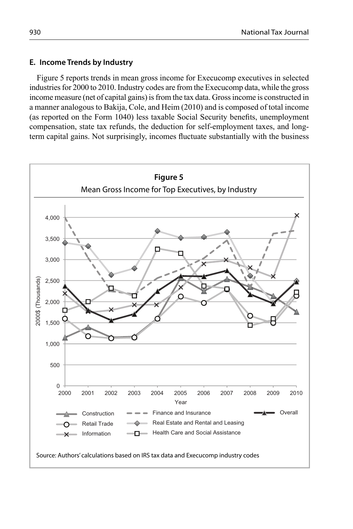# **E. Income Trends by Industry**

Figure 5 reports trends in mean gross income for Execucomp executives in selected industries for 2000 to 2010. Industry codes are from the Execucomp data, while the gross income measure (net of capital gains) is from the tax data. Gross income is constructed in a manner analogous to Bakija, Cole, and Heim (2010) and is composed of total income (as reported on the Form 1040) less taxable Social Security benefits, unemployment compensation, state tax refunds, the deduction for self-employment taxes, and longterm capital gains. Not surprisingly, incomes fluctuate substantially with the business

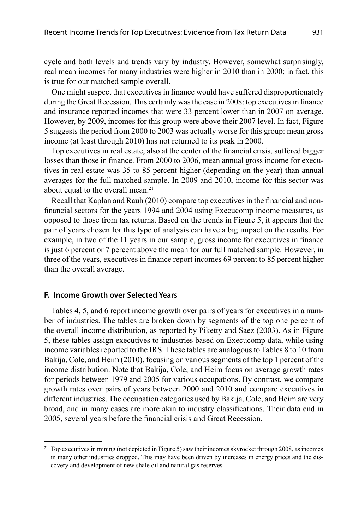cycle and both levels and trends vary by industry. However, somewhat surprisingly, real mean incomes for many industries were higher in 2010 than in 2000; in fact, this is true for our matched sample overall.

One might suspect that executives in finance would have suffered disproportionately during the Great Recession. This certainly was the case in 2008: top executives in finance and insurance reported incomes that were 33 percent lower than in 2007 on average. However, by 2009, incomes for this group were above their 2007 level. In fact, Figure 5 suggests the period from 2000 to 2003 was actually worse for this group: mean gross income (at least through 2010) has not returned to its peak in 2000.

Top executives in real estate, also at the center of the financial crisis, suffered bigger losses than those in finance. From 2000 to 2006, mean annual gross income for executives in real estate was 35 to 85 percent higher (depending on the year) than annual averages for the full matched sample. In 2009 and 2010, income for this sector was about equal to the overall mean.<sup>21</sup>

Recall that Kaplan and Rauh (2010) compare top executives in the financial and nonfinancial sectors for the years 1994 and 2004 using Execucomp income measures, as opposed to those from tax returns. Based on the trends in Figure 5, it appears that the pair of years chosen for this type of analysis can have a big impact on the results. For example, in two of the 11 years in our sample, gross income for executives in finance is just 6 percent or 7 percent above the mean for our full matched sample. However, in three of the years, executives in finance report incomes 69 percent to 85 percent higher than the overall average.

#### **F. Income Growth over Selected Years**

Tables 4, 5, and 6 report income growth over pairs of years for executives in a number of industries. The tables are broken down by segments of the top one percent of the overall income distribution, as reported by Piketty and Saez (2003). As in Figure 5, these tables assign executives to industries based on Execucomp data, while using income variables reported to the IRS. These tables are analogous to Tables 8 to 10 from Bakija, Cole, and Heim (2010), focusing on various segments of the top 1 percent of the income distribution. Note that Bakija, Cole, and Heim focus on average growth rates for periods between 1979 and 2005 for various occupations. By contrast, we compare growth rates over pairs of years between 2000 and 2010 and compare executives in different industries. The occupation categories used by Bakija, Cole, and Heim are very broad, and in many cases are more akin to industry classifications. Their data end in 2005, several years before the financial crisis and Great Recession.

<sup>&</sup>lt;sup>21</sup> Top executives in mining (not depicted in Figure 5) saw their incomes skyrocket through 2008, as incomes in many other industries dropped. This may have been driven by increases in energy prices and the discovery and development of new shale oil and natural gas reserves.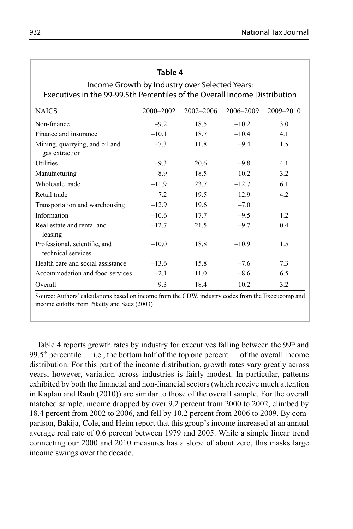# **Table 4**

# Income Growth by Industry over Selected Years: Executives in the 99-99.5th Percentiles of the Overall Income Distribution

| <b>NAICS</b>                                        | 2000-2002 | 2002-2006 | 2006-2009 | 2009-2010 |
|-----------------------------------------------------|-----------|-----------|-----------|-----------|
| Non-finance                                         | $-9.2$    | 18.5      | $-10.2$   | 3.0       |
| Finance and insurance                               | $-10.1$   | 18.7      | $-10.4$   | 4.1       |
| Mining, quarrying, and oil and<br>gas extraction    | $-7.3$    | 11.8      | $-9.4$    | 1.5       |
| <b>Utilities</b>                                    | $-9.3$    | 20.6      | $-9.8$    | 4.1       |
| Manufacturing                                       | $-8.9$    | 18.5      | $-10.2$   | 3.2       |
| Wholesale trade                                     | $-11.9$   | 23.7      | $-12.7$   | 6.1       |
| Retail trade                                        | $-7.2$    | 19.5      | $-12.9$   | 4.2       |
| Transportation and warehousing                      | $-12.9$   | 19.6      | $-7.0$    |           |
| Information                                         | $-10.6$   | 17.7      | $-9.5$    | 12.       |
| Real estate and rental and<br>leasing               | $-12.7$   | 21.5      | $-9.7$    | 0.4       |
| Professional, scientific, and<br>technical services | $-10.0$   | 18.8      | $-10.9$   | 1.5       |
| Health care and social assistance                   | $-13.6$   | 15.8      | $-7.6$    | 7.3       |
| Accommodation and food services                     | $-2.1$    | 11.0      | $-8.6$    | 6.5       |
| Overall                                             | $-9.3$    | 18.4      | $-10.2$   | 3.2       |

Source: Authors' calculations based on income from the CDW, industry codes from the Execucomp and income cutoffs from Piketty and Saez (2003)

Table 4 reports growth rates by industry for executives falling between the  $99<sup>th</sup>$  and 99.5<sup>th</sup> percentile — i.e., the bottom half of the top one percent — of the overall income distribution. For this part of the income distribution, growth rates vary greatly across years; however, variation across industries is fairly modest. In particular, patterns exhibited by both the financial and non-financial sectors (which receive much attention in Kaplan and Rauh (2010)) are similar to those of the overall sample. For the overall matched sample, income dropped by over 9.2 percent from 2000 to 2002, climbed by 18.4 percent from 2002 to 2006, and fell by 10.2 percent from 2006 to 2009. By comparison, Bakija, Cole, and Heim report that this group's income increased at an annual average real rate of 0.6 percent between 1979 and 2005. While a simple linear trend connecting our 2000 and 2010 measures has a slope of about zero, this masks large income swings over the decade.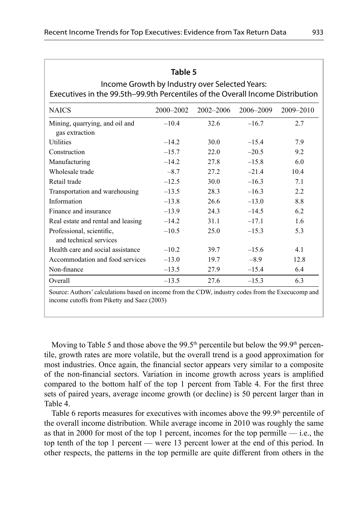| Income Growth by Industry over Selected Years:<br>Executives in the 99.5th-99.9th Percentiles of the Overall Income Distribution |           |               |           |           |  |  |  |
|----------------------------------------------------------------------------------------------------------------------------------|-----------|---------------|-----------|-----------|--|--|--|
| <b>NAICS</b>                                                                                                                     | 2000-2002 | $2002 - 2006$ | 2006-2009 | 2009-2010 |  |  |  |
| Mining, quarrying, and oil and<br>gas extraction                                                                                 | $-10.4$   | 32.6          | $-16.7$   | 2.7       |  |  |  |
| Utilities                                                                                                                        | $-14.2$   | 30.0          | $-15.4$   | 7.9       |  |  |  |
| Construction                                                                                                                     | $-15.7$   | 22.0          | $-20.5$   | 9.2       |  |  |  |
| Manufacturing                                                                                                                    | $-14.2$   | 27.8          | $-15.8$   | 6.0       |  |  |  |
| Wholesale trade                                                                                                                  | $-8.7$    | 27.2          | $-21.4$   | 10.4      |  |  |  |
| Retail trade                                                                                                                     | $-12.5$   | 30.0          | $-16.3$   | 7.1       |  |  |  |
| Transportation and warehousing                                                                                                   | $-13.5$   | 28.3          | $-16.3$   | 2.2       |  |  |  |
| Information                                                                                                                      | $-13.8$   | 26.6          | $-13.0$   | 8.8       |  |  |  |
| Finance and insurance                                                                                                            | $-13.9$   | 24.3          | $-14.5$   | 6.2       |  |  |  |
| Real estate and rental and leasing                                                                                               | $-14.2$   | 31.1          | $-17.1$   | 1.6       |  |  |  |
| Professional, scientific,<br>and technical services                                                                              | $-10.5$   | 25.0          | $-15.3$   | 5.3       |  |  |  |
| Health care and social assistance                                                                                                | $-10.2$   | 39.7          | $-15.6$   | 4.1       |  |  |  |
| Accommodation and food services                                                                                                  | $-13.0$   | 19.7          | $-8.9$    | 12.8      |  |  |  |
| Non-finance                                                                                                                      | $-13.5$   | 27.9          | $-15.4$   | 6.4       |  |  |  |
| Overall                                                                                                                          | $-13.5$   | 27.6          | $-15.3$   | 6.3       |  |  |  |

**Table 5**

Source: Authors' calculations based on income from the CDW, industry codes from the Execucomp and income cutoffs from Piketty and Saez (2003)

Moving to Table 5 and those above the  $99.5<sup>th</sup>$  percentile but below the  $99.9<sup>th</sup>$  percentile, growth rates are more volatile, but the overall trend is a good approximation for most industries. Once again, the financial sector appears very similar to a composite of the non-financial sectors. Variation in income growth across years is amplified compared to the bottom half of the top 1 percent from Table 4. For the first three sets of paired years, average income growth (or decline) is 50 percent larger than in Table 4.

Table 6 reports measures for executives with incomes above the  $99.9<sup>th</sup>$  percentile of the overall income distribution. While average income in 2010 was roughly the same as that in 2000 for most of the top 1 percent, incomes for the top permille  $-$  i.e., the top tenth of the top 1 percent — were 13 percent lower at the end of this period. In other respects, the patterns in the top permille are quite different from others in the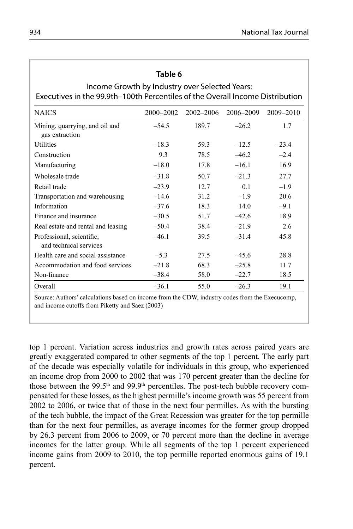# **Table 6**

# Income Growth by Industry over Selected Years: Executives in the 99.9th –100th Percentiles of the Overall Income Distribution

| <b>NAICS</b>                                        | 2000-2002 | $2002 - 2006$ | 2006–2009      | 2009-2010 |
|-----------------------------------------------------|-----------|---------------|----------------|-----------|
| Mining, quarrying, and oil and<br>gas extraction    | $-54.5$   | 189.7         | $-26.2$        | 1.7       |
| <b>Utilities</b>                                    | $-18.3$   | 59.3          | $-12.5$        | $-23.4$   |
| Construction                                        | 9.3       | 78.5          | $-46.2$        | $-2.4$    |
| Manufacturing                                       | $-18.0$   | 17.8          | $-16.1$        | 16.9      |
| Wholesale trade                                     | $-31.8$   | 50.7          | $-21.3$        | 27.7      |
| Retail trade                                        | $-23.9$   | 12.7          | 0 <sub>1</sub> | $-1.9$    |
| Transportation and warehousing                      | $-14.6$   | 31.2          | $-1.9$         | 20.6      |
| Information                                         | $-37.6$   | 18.3          | 140            | $-9.1$    |
| Finance and insurance                               | $-30.5$   | 51.7          | $-42.6$        | 18.9      |
| Real estate and rental and leasing                  | $-50.4$   | 38.4          | $-21.9$        | 2.6       |
| Professional, scientific,<br>and technical services | $-461$    | 39.5          | $-31.4$        | 45.8      |
| Health care and social assistance                   | $-5.3$    | 27.5          | $-45.6$        | 28.8      |
| Accommodation and food services                     | $-21.8$   | 68.3          | $-25.8$        | 11.7      |
| Non-finance                                         | $-38.4$   | 58.0          | $-22.7$        | 18.5      |
| Overall                                             | $-36.1$   | 55.0          | $-26.3$        | 19.1      |

Source: Authors' calculations based on income from the CDW, industry codes from the Execucomp, and income cutoffs from Piketty and Saez (2003)

top 1 percent. Variation across industries and growth rates across paired years are greatly exaggerated compared to other segments of the top 1 percent. The early part of the decade was especially volatile for individuals in this group, who experienced an income drop from 2000 to 2002 that was 170 percent greater than the decline for those between the 99.5<sup>th</sup> and 99.9<sup>th</sup> percentiles. The post-tech bubble recovery compensated for these losses, as the highest permille's income growth was 55 percent from 2002 to 2006, or twice that of those in the next four permilles. As with the bursting of the tech bubble, the impact of the Great Recession was greater for the top permille than for the next four permilles, as average incomes for the former group dropped by 26.3 percent from 2006 to 2009, or 70 percent more than the decline in average incomes for the latter group. While all segments of the top 1 percent experienced income gains from 2009 to 2010, the top permille reported enormous gains of 19.1 percent.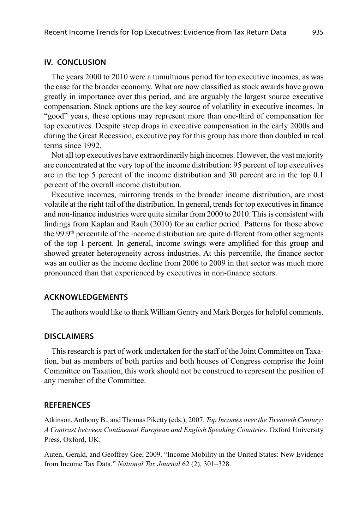#### **IV. CONCLUSION**

The years 2000 to 2010 were a tumultuous period for top executive incomes, as was the case for the broader economy. What are now classified as stock awards have grown greatly in importance over this period, and are arguably the largest source executive compensation. Stock options are the key source of volatility in executive incomes. In "good" years, these options may represent more than one-third of compensation for top executives. Despite steep drops in executive compensation in the early 2000s and during the Great Recession, executive pay for this group has more than doubled in real terms since 1992.

Not all top executives have extraordinarily high incomes. However, the vast majority are concentrated at the very top of the income distribution: 95 percent of top executives are in the top 5 percent of the income distribution and 30 percent are in the top 0.1 percent of the overall income distribution.

Executive incomes, mirroring trends in the broader income distribution, are most volatile at the right tail of the distribution. In general, trends for top executives in finance and non-finance industries were quite similar from 2000 to 2010. This is consistent with findings from Kaplan and Rauh (2010) for an earlier period. Patterns for those above the 99.9th percentile of the income distribution are quite different from other segments of the top 1 percent. In general, income swings were amplified for this group and showed greater heterogeneity across industries. At this percentile, the finance sector was an outlier as the income decline from 2006 to 2009 in that sector was much more pronounced than that experienced by executives in non-finance sectors.

# **ACKNOWLEDGEMENTS**

The authors would like to thank William Gentry and Mark Borges for helpful comments.

#### **DISCLAIMERS**

This research is part of work undertaken for the staff of the Joint Committee on Taxation, but as members of both parties and both houses of Congress comprise the Joint Committee on Taxation, this work should not be construed to represent the position of any member of the Committee.

#### **REFERENCES**

Atkinson, Anthony B., and Thomas Piketty (eds.), 2007. *Top Incomes over the Twentieth Century: A Contrast between Continental European and English Speaking Countries*. Oxford University Press, Oxford, UK.

Auten, Gerald, and Geoffrey Gee, 2009. "Income Mobility in the United States: New Evidence from Income Tax Data." *National Tax Journal* 62 (2), 301–328.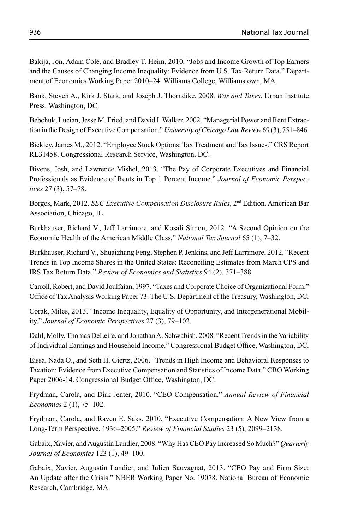Bakija, Jon, Adam Cole, and Bradley T. Heim, 2010. "Jobs and Income Growth of Top Earners and the Causes of Changing Income Inequality: Evidence from U.S. Tax Return Data." Department of Economics Working Paper 2010–24. Williams College, Williamstown, MA.

Bank, Steven A., Kirk J. Stark, and Joseph J. Thorndike, 2008. *War and Taxes*. Urban Institute Press, Washington, DC.

Bebchuk, Lucian, Jesse M. Fried, and David I. Walker, 2002. "Managerial Power and Rent Extraction in the Design of Executive Compensation." *University of Chicago Law Review* 69 (3), 751–846.

Bickley, James M., 2012. "Employee Stock Options: Tax Treatment and Tax Issues." CRS Report RL31458. Congressional Research Service, Washington, DC.

Bivens, Josh, and Lawrence Mishel, 2013. "The Pay of Corporate Executives and Financial Professionals as Evidence of Rents in Top 1 Percent Income." *Journal of Economic Perspectives* 27 (3), 57–78.

Borges, Mark, 2012. *SEC Executive Compensation Disclosure Rules*, 2nd Edition. American Bar Association, Chicago, IL.

Burkhauser, Richard V., Jeff Larrimore, and Kosali Simon, 2012. "A Second Opinion on the Economic Health of the American Middle Class," *National Tax Journal* 65 (1), 7–32.

Burkhauser, Richard V., Shuaizhang Feng, Stephen P. Jenkins, and Jeff Larrimore, 2012. "Recent Trends in Top Income Shares in the United States: Reconciling Estimates from March CPS and IRS Tax Return Data." *Review of Economics and Statistics* 94 (2), 371–388.

Carroll, Robert, and David Joulfaian, 1997. "Taxes and Corporate Choice of Organizational Form." Office of Tax Analysis Working Paper 73. The U.S. Department of the Treasury, Washington, DC.

Corak, Miles, 2013. "Income Inequality, Equality of Opportunity, and Intergenerational Mobility." *Journal of Economic Perspectives* 27 (3), 79–102.

Dahl, Molly, Thomas DeLeire, and Jonathan A. Schwabish, 2008. "Recent Trends in the Variability of Individual Earnings and Household Income." Congressional Budget Office, Washington, DC.

Eissa, Nada O., and Seth H. Giertz, 2006. "Trends in High Income and Behavioral Responses to Taxation: Evidence from Executive Compensation and Statistics of Income Data." CBO Working Paper 2006-14. Congressional Budget Office, Washington, DC.

Frydman, Carola, and Dirk Jenter, 2010. "CEO Compensation." *Annual Review of Financial Economics* 2 (1), 75–102.

Frydman, Carola, and Raven E. Saks, 2010. "Executive Compensation: A New View from a Long-Term Perspective, 1936–2005." *Review of Financial Studies* 23 (5), 2099–2138.

Gabaix, Xavier, and Augustin Landier, 2008. "Why Has CEO Pay Increased So Much?" *Quarterly Journal of Economics* 123 (1), 49–100.

Gabaix, Xavier, Augustin Landier, and Julien Sauvagnat, 2013. "CEO Pay and Firm Size: An Update after the Crisis." NBER Working Paper No. 19078. National Bureau of Economic Research, Cambridge, MA.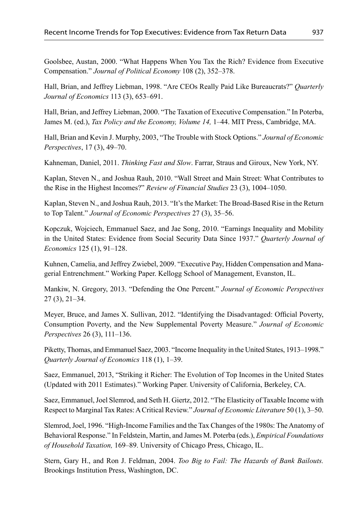Goolsbee, Austan, 2000. "What Happens When You Tax the Rich? Evidence from Executive Compensation." *Journal of Political Economy* 108 (2), 352–378.

Hall, Brian, and Jeffrey Liebman, 1998. "Are CEOs Really Paid Like Bureaucrats?" *Quarterly Journal of Economics* 113 (3), 653–691.

Hall, Brian, and Jeffrey Liebman, 2000. "The Taxation of Executive Compensation." In Poterba, James M. (ed.), *Tax Policy and the Economy, Volume 14,* 1–44. MIT Press, Cambridge, MA.

Hall, Brian and Kevin J. Murphy, 2003, "The Trouble with Stock Options." *Journal of Economic Perspectives*, 17 (3), 49–70.

Kahneman, Daniel, 2011. *Thinking Fast and Slow*. Farrar, Straus and Giroux, New York, NY.

Kaplan, Steven N., and Joshua Rauh, 2010. "Wall Street and Main Street: What Contributes to the Rise in the Highest Incomes?" *Review of Financial Studies* 23 (3), 1004–1050.

Kaplan, Steven N., and Joshua Rauh, 2013. "It's the Market: The Broad-Based Rise in the Return to Top Talent." *Journal of Economic Perspectives* 27 (3), 35–56.

Kopczuk, Wojciech, Emmanuel Saez, and Jae Song, 2010. "Earnings Inequality and Mobility in the United States: Evidence from Social Security Data Since 1937." *Quarterly Journal of Economics* 125 (1), 91–128.

Kuhnen, Camelia, and Jeffrey Zwiebel, 2009. "Executive Pay, Hidden Compensation and Managerial Entrenchment." Working Paper. Kellogg School of Management, Evanston, IL.

Mankiw, N. Gregory, 2013. "Defending the One Percent." *Journal of Economic Perspectives* 27 (3), 21–34.

Meyer, Bruce, and James X. Sullivan, 2012. "Identifying the Disadvantaged: Official Poverty, Consumption Poverty, and the New Supplemental Poverty Measure." *Journal of Economic Perspectives* 26 (3), 111–136.

Piketty, Thomas, and Emmanuel Saez, 2003. "Income Inequality in the United States, 1913–1998." *Quarterly Journal of Economics* 118 (1), 1–39.

Saez, Emmanuel, 2013, "Striking it Richer: The Evolution of Top Incomes in the United States (Updated with 2011 Estimates)." Working Paper. University of California, Berkeley, CA.

Saez, Emmanuel, Joel Slemrod, and Seth H. Giertz, 2012. "The Elasticity of Taxable Income with Respect to Marginal Tax Rates: A Critical Review." *Journal of Economic Literature* 50 (1), 3–50.

Slemrod, Joel, 1996. "High-Income Families and the Tax Changes of the 1980s: The Anatomy of Behavioral Response." In Feldstein, Martin, and James M. Poterba (eds.), *Empirical Foundations of Household Taxation,* 169–89. University of Chicago Press, Chicago, IL.

Stern, Gary H., and Ron J. Feldman, 2004. *Too Big to Fail: The Hazards of Bank Bailouts.*  Brookings Institution Press, Washington, DC.